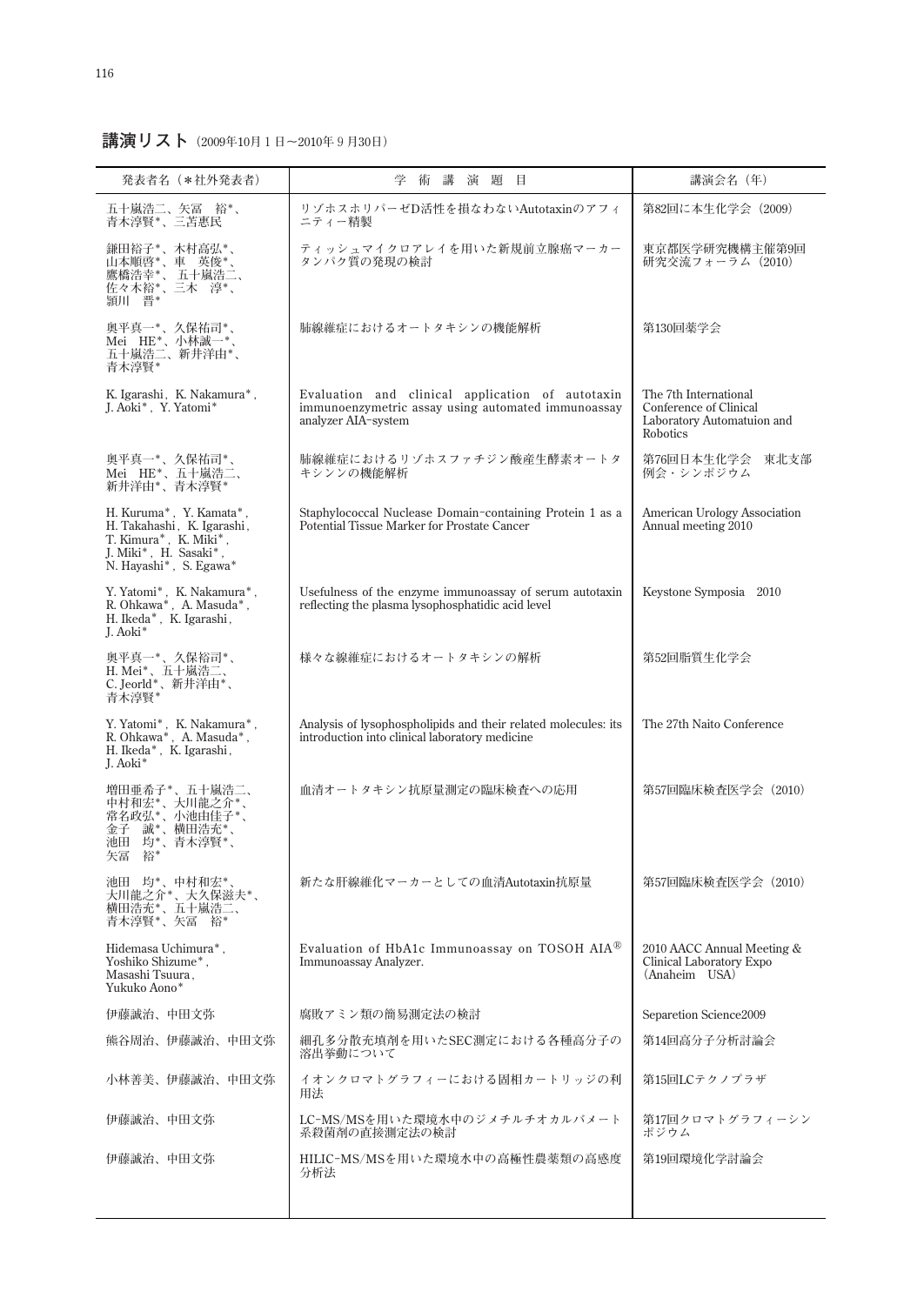**講演リスト(2009年10月1日~2010年9月30日)**

| 発表者名 (*社外発表者)                                                                                                                     | 講<br>演題目<br>学<br>術                                                                                                            | 講演会名 (年)                                                                                         |
|-----------------------------------------------------------------------------------------------------------------------------------|-------------------------------------------------------------------------------------------------------------------------------|--------------------------------------------------------------------------------------------------|
| 五十嵐浩二、矢冨 裕*、<br>青木淳賢*、三苫惠民                                                                                                        | リゾホスホリパーゼD活性を損なわないAutotaxinのアフィ<br>ニティー精製                                                                                     | 第82回に本生化学会 (2009)                                                                                |
| 鎌田裕子*、木村高弘*、<br>"山本橋浩幸"、「山本橋清幸」、「山本橋浩幸」、「山本橋浩幸」、「山本橋浩幸」、「山本橋浩幸」、「山本橋浩幸」、「山本橋浩幸」、「山本海」、「山本海」、「山本海」、「山本海」、「山本海」、「山本海」、<br>頴川 晋*     | ティッシュマイクロアレイを用いた新規前立腺癌マーカー<br>タンパク質の発現の検討                                                                                     | 東京都医学研究機構主催第9回<br>研究交流フォーラム (2010)                                                               |
| 奥平真一*、久保祐司*、<br>Mei HE*、小林誠一*、<br>五十嵐浩二、新井洋由*、<br>青木淳賢*                                                                           | 肺線維症におけるオートタキシンの機能解析                                                                                                          | 第130回薬学会                                                                                         |
| K. Igarashi, K. Nakamura*,<br>J. Aoki*, Y. Yatomi*                                                                                | Evaluation and clinical application of autotaxin<br>immunoenzymetric assay using automated immunoassay<br>analyzer AIA-system | The 7th International<br>Conference of Clinical<br>Laboratory Automatuion and<br><b>Robotics</b> |
| 奥平真一*、久保祐司*、<br>Mei HE*、五十嵐浩二、<br>新井洋由*、青木淳賢*                                                                                     | 肺線維症におけるリゾホスファチジン酸産生酵素オートタ<br>キシンンの機能解析                                                                                       | 第76回日本生化学会<br>東北支部<br>例会・シンポジウム                                                                  |
| H. Kuruma*, Y. Kamata*,<br>H. Takahashi, K. Igarashi,<br>T. Kimura*, K. Miki*,<br>J. Miki*, H. Sasaki*,<br>N. Hayashi*, S. Egawa* | Staphylococcal Nuclease Domain-containing Protein 1 as a<br>Potential Tissue Marker for Prostate Cancer                       | American Urology Association<br>Annual meeting 2010                                              |
| Y. Yatomi*, K. Nakamura*,<br>R. Ohkawa*, A. Masuda*,<br>H. Ikeda*, K. Igarashi,<br>I. Aoki*                                       | Usefulness of the enzyme immunoassay of serum autotaxin<br>reflecting the plasma lysophosphatidic acid level                  | Keystone Symposia 2010                                                                           |
| 奥平真一*、久保裕司*、<br>H. Mei*、五十嵐浩二、<br>C. Jeorld*、新井洋由*、<br>青木淳賢*                                                                      | 様々な線維症におけるオートタキシンの解析                                                                                                          | 第52回脂質生化学会                                                                                       |
| Y. Yatomi*, K. Nakamura*,<br>R. Ohkawa*, $\,$ A. Masuda*, $\,$<br>H. Ikeda*, K. Igarashi,<br>I. Aoki*                             | Analysis of lysophospholipids and their related molecules: its<br>introduction into clinical laboratory medicine              | The 27th Naito Conference                                                                        |
| 増田亜希子*、五十嵐浩二、<br>中村和宏*、大川龍之介*、<br>常名政弘*、小池由佳子*、<br>金子 誠*、横田浩充*、<br>池田 均*、青木淳賢*、<br>矢冨 裕*                                          | 血清オートタキシン抗原量測定の臨床検査への応用                                                                                                       | 第57回臨床検査医学会 (2010)                                                                               |
| 池田 均*、中村和宏*、<br>大川龍之介*、大久保滋夫*、<br>横田浩充*、五十嵐浩二、<br>青木淳賢*、矢冨 裕*                                                                     | 新たな肝線維化マーカーとしての血清Autotaxin抗原量                                                                                                 | 第57回臨床検査医学会(2010)                                                                                |
| Hidemasa Uchimura*,<br>Yoshiko Shizume*,<br>Masashi Tsuura,<br>Yukuko Aono*                                                       | Evaluation of HbA1c Immunoassay on TOSOH AIA®<br>Immunoassay Analyzer.                                                        | 2010 AACC Annual Meeting &<br>Clinical Laboratory Expo<br>(Anaheim USA)                          |
| 伊藤誠治、中田文弥                                                                                                                         | 腐敗アミン類の簡易測定法の検討                                                                                                               | Separetion Science2009                                                                           |
| 熊谷周治、伊藤誠治、中田文弥                                                                                                                    | 細孔多分散充填剤を用いたSEC測定における各種高分子の<br>溶出挙動について                                                                                       | 第14回高分子分析討論会                                                                                     |
| 小林善美、伊藤誠治、中田文弥                                                                                                                    | イオンクロマトグラフィーにおける固相カートリッジの利<br>用法                                                                                              | 第15回LCテクノプラザ                                                                                     |
| 伊藤誠治、中田文弥                                                                                                                         | LC-MS/MSを用いた環境水中のジメチルチオカルバメート<br>系殺菌剤の直接測定法の検討                                                                                | 第17回クロマトグラフィーシン<br>ポジウム                                                                          |
| 伊藤誠治、中田文弥                                                                                                                         | HILIC-MS/MSを用いた環境水中の高極性農薬類の高感度<br>分析法                                                                                         | 第19回環境化学討論会                                                                                      |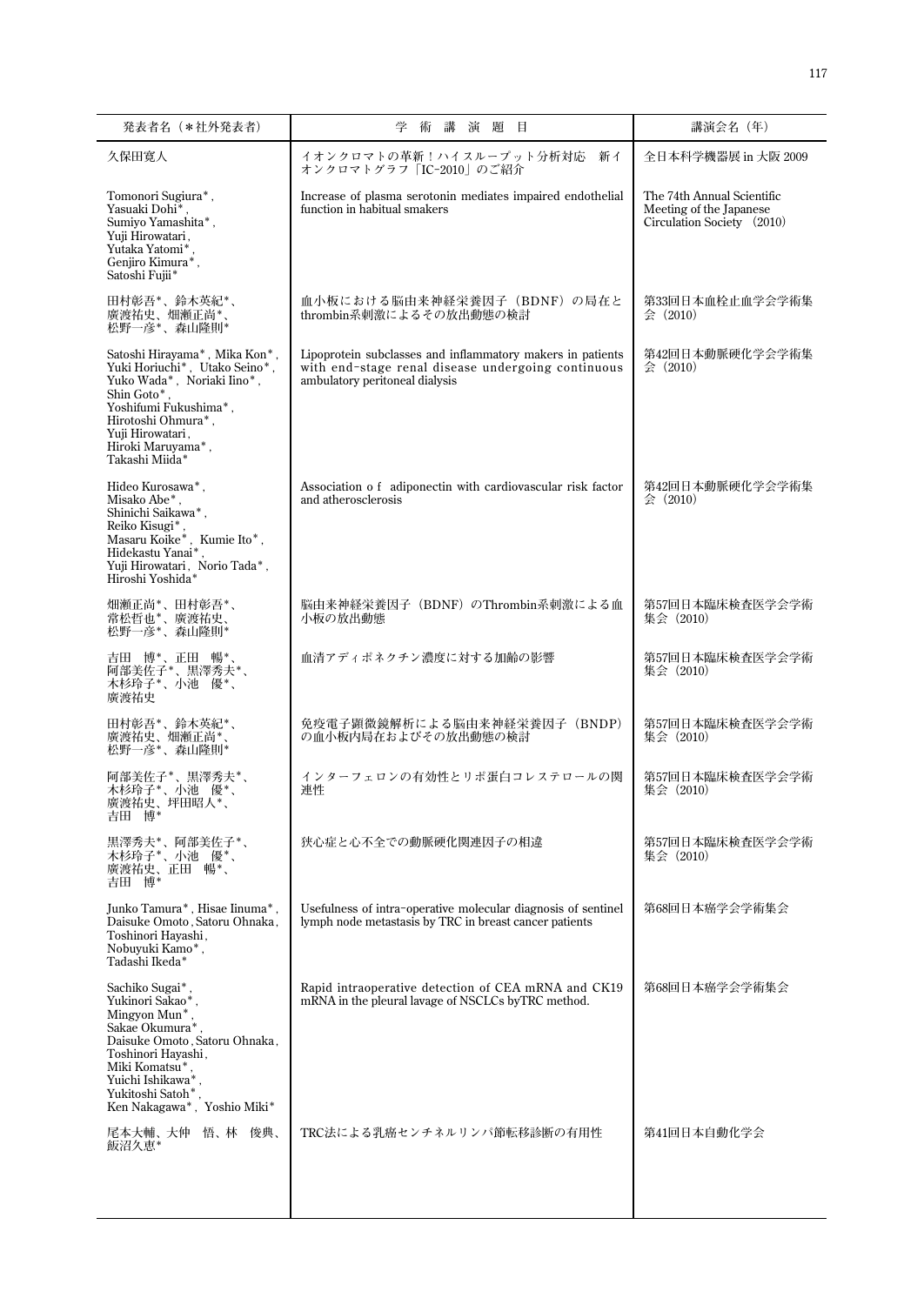| 発表者名 (*社外発表者)                                                                                                                                                                                                                      | 術 講<br>題目<br>学<br>演                                                                                                                                | 講演会名 (年)                                                                            |
|------------------------------------------------------------------------------------------------------------------------------------------------------------------------------------------------------------------------------------|----------------------------------------------------------------------------------------------------------------------------------------------------|-------------------------------------------------------------------------------------|
| 久保田寛人                                                                                                                                                                                                                              | イオンクロマトの革新!ハイスループット分析対応<br>新イ<br>オンクロマトグラフ「IC-2010」のご紹介                                                                                            | 全日本科学機器展 in 大阪 2009                                                                 |
| Tomonori Sugiura <sup>*</sup> ,<br>Yasuaki Dohi*<br>Sumiyo Yamashita*,<br>Yuji Hirowatari,<br>Yutaka Yatomi*<br>Genjiro Kimura*,<br>Satoshi Fujii*                                                                                 | Increase of plasma serotonin mediates impaired endothelial<br>function in habitual smakers                                                         | The 74th Annual Scientific<br>Meeting of the Japanese<br>Circulation Society (2010) |
| 田村彰吾*、鈴木英紀*、<br>廣渡祐史、畑瀬正尚*、<br>松野一彦*、森山隆則*                                                                                                                                                                                         | 血小板における脳由来神経栄養因子 (BDNF) の局在と<br>thrombin系刺激によるその放出動態の検討                                                                                            | 第33回日本血栓止血学会学術集<br>会 (2010)                                                         |
| Satoshi Hirayama*, Mika $\mathrm{Kon}^*$ ,<br>Yuki Horiuchi*, Utako Seino*,<br>Yuko Wada*, Noriaki Iino*,<br>Shin Goto*.<br>Yoshifumi Fukushima*,<br>Hirotoshi Ohmura*,<br>Yuji Hirowatari,<br>Hiroki Maruyama*,<br>Takashi Miida* | Lipoprotein subclasses and inflammatory makers in patients<br>with end-stage renal disease undergoing continuous<br>ambulatory peritoneal dialysis | 第42回日本動脈硬化学会学術集<br>$\Leftrightarrow$ (2010)                                         |
| Hideo Kurosawa <sup>*</sup> ,<br>Misako Abe*.<br>Shinichi Saikawa*,<br>Reiko Kisugi*<br>Masaru Koike*, Kumie Ito*,<br>Hidekastu Yanai*.<br>Yuji Hirowatari, Norio Tada*,<br>Hiroshi Yoshida*                                       | Association of adiponectin with cardiovascular risk factor<br>and atherosclerosis                                                                  | 第42回日本動脈硬化学会学術集<br>$\Leftrightarrow$ (2010)                                         |
| 畑瀬正尚*、田村彰吾*、<br>"常松哲也*、廣渡祐史、<br>常松哲也*、廣渡祐史、                                                                                                                                                                                        | 脳由来神経栄養因子(BDNF)のThrombin系刺激による血<br>小板の放出動態                                                                                                         | 第57回日本臨床検査医学会学術<br>集会 (2010)                                                        |
| 吉田 博*、正田 暢*、<br>阿部美佐子*、黒澤秀夫*、<br>木杉玲子*、小池 優*、<br>廣渡祐史                                                                                                                                                                              | 血清アディポネクチン濃度に対する加齢の影響                                                                                                                              | 第57回日本臨床検査医学会学術<br>集会 (2010)                                                        |
| 田村彰吾*、鈴木英紀*、<br>廣渡祐史、畑瀬正尚*<br>松野一彦*、森山隆則*                                                                                                                                                                                          | 免疫電子顕微鏡解析による脳由来神経栄養因子 (BNDP)<br>の血小板内局在およびその放出動熊の検討                                                                                                | 第57回日本臨床検査医学会学術<br>集会 (2010)                                                        |
| 阿部美佐子*、黒澤秀夫*、<br>木杉玲子*、小池 優*、<br>廣渡祐史、坪田昭人*、<br>吉田 博*                                                                                                                                                                              | インターフェロンの有効性とリポ蛋白コレステロールの関<br>連性                                                                                                                   | 第57回日本臨床検査医学会学術<br>集会 (2010)                                                        |
| 黒澤秀夫*、阿部美佐子*、<br>木杉玲子*、小池 優*、<br>廣·渡<br>市史、正田 暢*、<br>吉田 博*                                                                                                                                                                         | 狭心症と心不全での動脈硬化関連因子の相違                                                                                                                               | 第57回日本臨床検査医学会学術<br>集会 (2010)                                                        |
| Junko Tamura*, Hisae Iinuma*,<br>Daisuke Omoto, Satoru Ohnaka,<br>Toshinori Hayashi,<br>Nobuyuki Kamo*,<br>Tadashi Ikeda*                                                                                                          | Usefulness of intra-operative molecular diagnosis of sentinel<br>lymph node metastasis by TRC in breast cancer patients                            | 第68回日本癌学会学術集会                                                                       |
| Sachiko Sugai*<br>Yukinori Sakao*<br>Mingyon Mun*,<br>Sakae Okumura*<br>Daisuke Omoto, Satoru Ohnaka,<br>Toshinori Hayashi,<br>Miki Komatsu*<br>Yuichi Ishikawa*<br>Yukitoshi Satoh*<br>Ken Nakagawa*, Yoshio Miki*                | Rapid intraoperative detection of CEA mRNA and CK19<br>mRNA in the pleural lavage of NSCLCs byTRC method.                                          | 第68回日本癌学会学術集会                                                                       |
| 尾本大輔、大仲 悟、林 俊典、<br>飯沼久恵*                                                                                                                                                                                                           | TRC法による乳癌センチネルリンパ節転移診断の有用性                                                                                                                         | 第41回日本自動化学会                                                                         |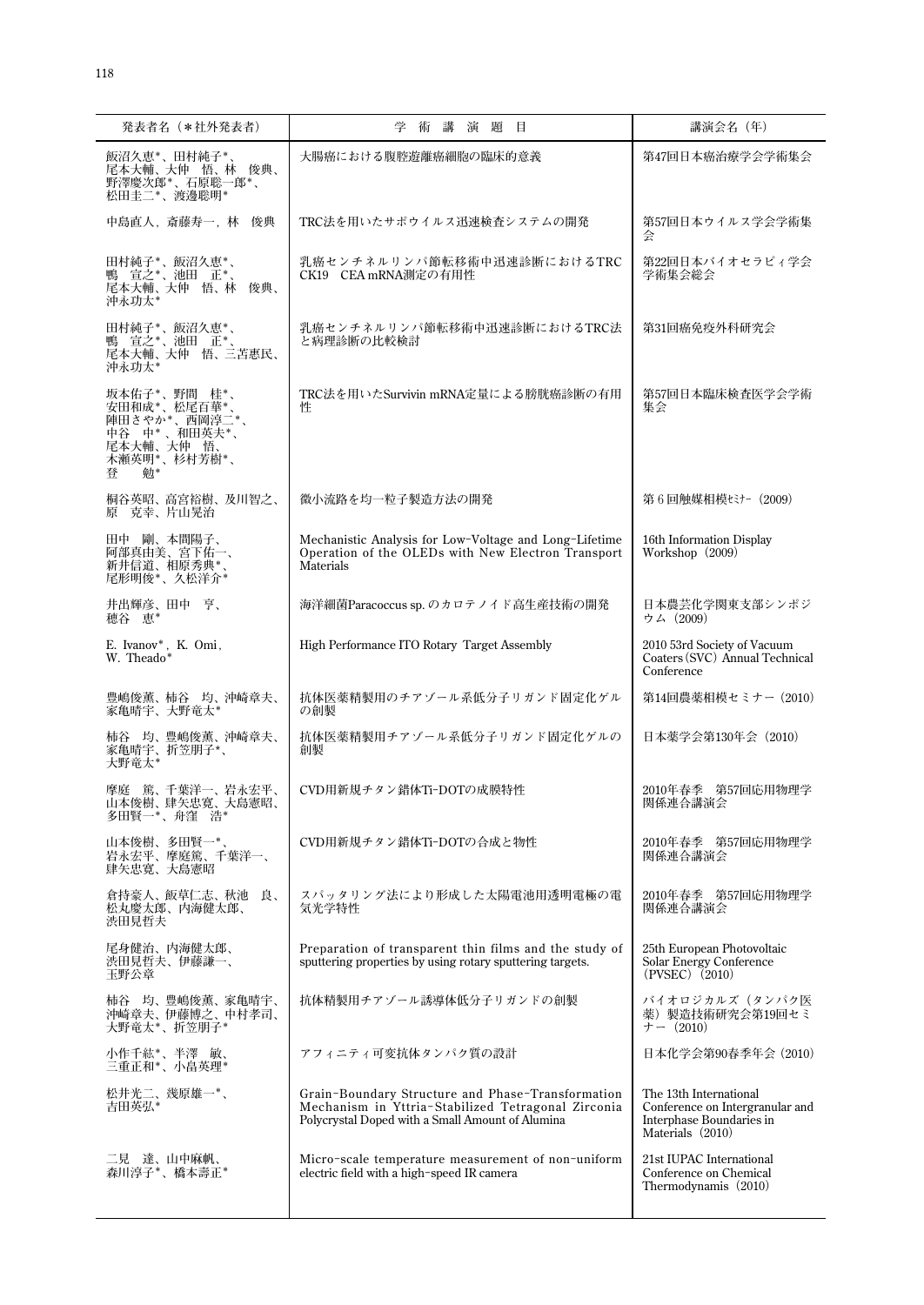| 発表者名 (*社外発表者)                                                                                          | 学<br>講<br>術<br>演題目                                                                                                                                          | 講演会名 (年)                                                                                                  |
|--------------------------------------------------------------------------------------------------------|-------------------------------------------------------------------------------------------------------------------------------------------------------------|-----------------------------------------------------------------------------------------------------------|
| 飯沼久恵*、田村純子*、<br>尾本大輔、大仲 悟、林 俊典、<br>野澤慶次郎*、石原聡一郎*、<br>松田圭二*、渡邊聡明*                                       | 大腸癌における腹腔遊離癌細胞の臨床的意義                                                                                                                                        | 第47回日本癌治療学会学術集会                                                                                           |
| 中島直人, 斎藤寿一, 林 俊典                                                                                       | TRC法を用いたサポウイルス迅速検査システムの開発                                                                                                                                   | 第57回日本ウイルス学会学術集<br>숲                                                                                      |
| 田村純子*、飯沼久恵*、<br>鴨 宣之*、池田 正*、<br>尾本大輔、大仲 悟、林<br>俊典、<br>沖永功太*                                            | 乳癌センチネルリンパ節転移術中迅速診断におけるTRC<br>CK19 CEA mRNA測定の有用性                                                                                                           | 第22回日本バイオセラピィ学会<br>学術集会総会                                                                                 |
| 田村純子*、飯沼久恵*、<br>鴨 宣之*、池田 正*、<br>尾本大輔、大仲 悟、三苫惠民、<br>沖永功太*                                               | 乳癌センチネルリンパ節転移術中迅速診断におけるTRC法<br>と病理診断の比較検討                                                                                                                   | 第31回癌免疫外科研究会                                                                                              |
| 坂本佑子*、野間 桂*、<br>安田和成*、松尾百華*<br>陣田さやか*、西岡淳二*、<br>中谷 中* 、和田英夫*、<br>尾本大輔、大仲 悟、<br>木瀬英明*、杉村芳樹*、<br>勉*<br>登 | TRC法を用いたSurvivin mRNA定量による膀胱癌診断の有用<br>件                                                                                                                     | 第57回日本臨床検査医学会学術<br>集会                                                                                     |
| 桐谷英昭、高宮裕樹、及川智之、<br>原 克幸、片山晃治                                                                           | 微小流路を均一粒子製造方法の開発                                                                                                                                            | 第6回触媒相模セミナー (2009)                                                                                        |
| 田中 剛、本間陽子、<br>阿部真由美、宮下佑一、<br>新井信道、相原秀典*<br>尾形明俊*、久松洋介*                                                 | Mechanistic Analysis for Low-Voltage and Long-Lifetime<br>Operation of the OLEDs with New Electron Transport<br>Materials                                   | 16th Information Display<br>Workshop (2009)                                                               |
| 井出輝彦、田中 亨、<br>穂谷 恵*                                                                                    | 海洋細菌Paracoccus sp. のカロテノイド高生産技術の開発                                                                                                                          | 日本農芸化学関東支部シンポジ<br>ウム (2009)                                                                               |
| E. Ivanov*, K. Omi,<br>W. Theado*                                                                      | High Performance ITO Rotary Target Assembly                                                                                                                 | 2010 53rd Society of Vacuum<br>Coaters (SVC) Annual Technical<br>Conference                               |
| 豊嶋俊薫、柿谷 均、沖崎章夫、<br>家亀晴宇、大野竜太*                                                                          | 抗体医薬精製用のチアゾール系低分子リガンド固定化ゲル<br>の創製                                                                                                                           | 第14回農薬相模セミナー(2010)                                                                                        |
| 柿谷 均、豊嶋俊薫、沖崎章夫、<br>家亀晴宇、折笠朋子*、<br>大野竜太*                                                                | 抗体医薬精製用チアゾール系低分子リガンド固定化ゲルの<br>創製                                                                                                                            | 日本薬学会第130年会 (2010)                                                                                        |
| 摩庭 篤、千葉洋一、岩永宏平、<br>山本俊樹、肆矢忠寛、大島憲昭、<br>多出賢一*′、丹窪 浩*                                                     | CVD用新規チタン錯体Ti-DOTの成膜特性                                                                                                                                      | 2010年春季 第57回応用物理学<br>関係連合講演会                                                                              |
| 山本俊樹、多田賢一*、<br>岩永宏平、摩庭篤、千葉洋一、<br>肆矢忠寛、大島憲昭                                                             | CVD用新規チタン錯体Ti-DOTの合成と物性                                                                                                                                     | 2010年春季 第57回応用物理学<br>関係連合講演会                                                                              |
| 倉持豪人、飯草仁志、秋池 良、<br>松丸慶太郎、内海健太郎、<br>渋田見哲夫                                                               | スパッタリング法により形成した太陽電池用透明電極の電<br>気光学特性                                                                                                                         | 2010年春季 第57回応用物理学<br>関係連合講演会                                                                              |
| 尾身健治、内海健太郎、<br>渋田見哲夫、伊藤謙一、<br>玉野公章                                                                     | Preparation of transparent thin films and the study of<br>sputtering properties by using rotary sputtering targets.                                         | 25th European Photovoltaic<br>Solar Energy Conference<br>(PVSEC) (2010)                                   |
| 柿谷 均、豊嶋俊薫、家亀晴宇、<br>沖崎章夫、伊藤博之、中村孝司、<br>大野竜太*、折笠朋子*                                                      | 抗体精製用チアゾール誘導体低分子リガンドの創製                                                                                                                                     | バイオロジカルズ(タンパク医<br>薬) 製造技術研究会第19回セミ<br>$+ - (2010)$                                                        |
| 小作千紘*、半澤 敏、<br>三重正和*、小畠英理*                                                                             | アフィニティ可変抗体タンパク質の設計                                                                                                                                          | 日本化学会第90春季年会 (2010)                                                                                       |
| 松井光二、幾原雄一*、<br>吉田英弘*                                                                                   | Grain-Boundary Structure and Phase-Transformation<br>Mechanism in Yttria-Stabilized Tetragonal Zirconia<br>Polycrystal Doped with a Small Amount of Alumina | The 13th International<br>Conference on Intergranular and<br>Interphase Boundaries in<br>Materials (2010) |
| 二見 達、山中麻帆、<br>森川淳子*、橋本壽正*                                                                              | Micro-scale temperature measurement of non-uniform<br>electric field with a high-speed IR camera                                                            | 21st IUPAC International<br>Conference on Chemical<br>Thermodynamis (2010)                                |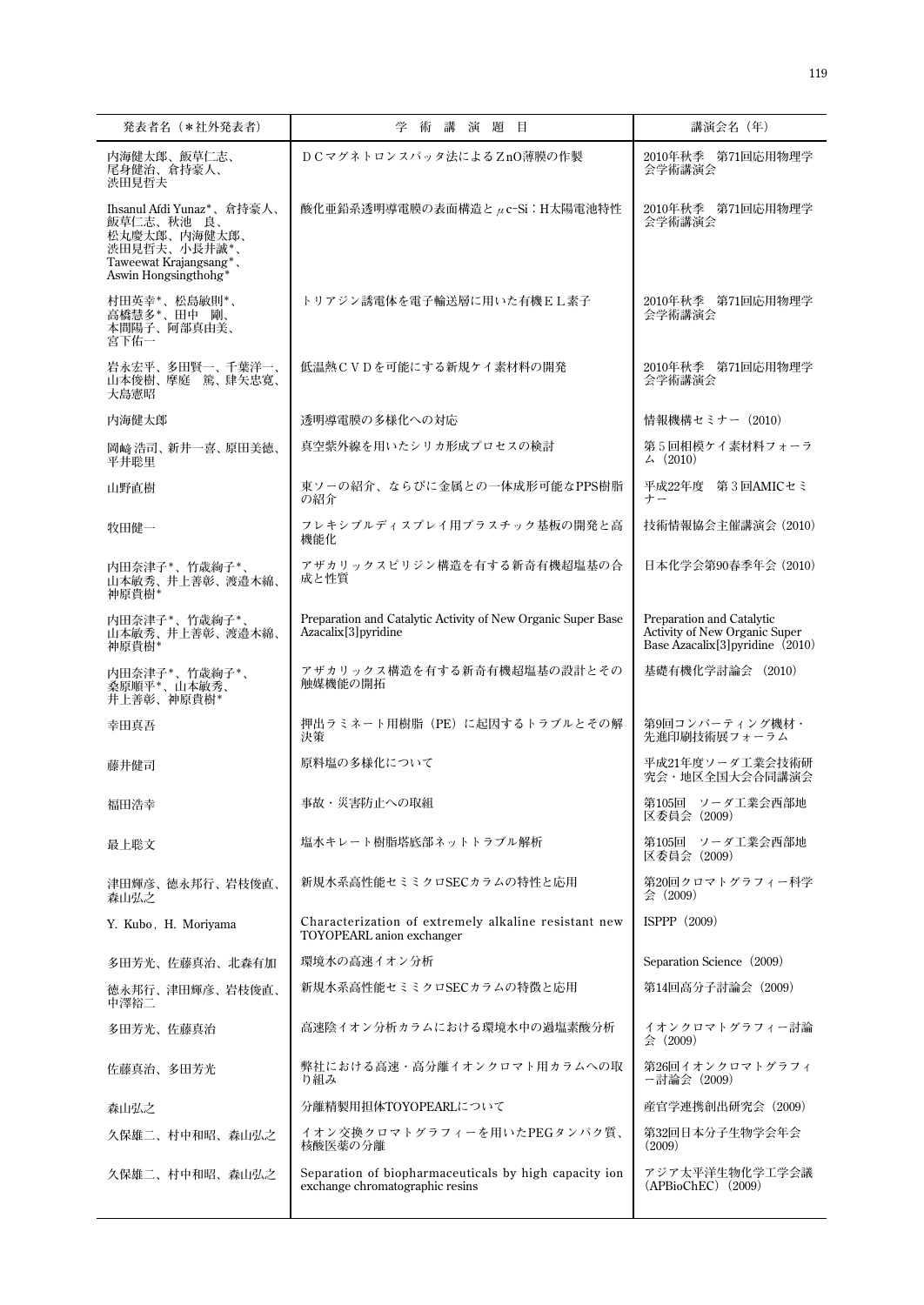| 発表者名 (*社外発表者)                                                                                                             | 学術講演題目                                                                                           | 講演会名 (年)                                                                                                   |
|---------------------------------------------------------------------------------------------------------------------------|--------------------------------------------------------------------------------------------------|------------------------------------------------------------------------------------------------------------|
| 内海健太郎、飯草仁志、<br>尾身健治、倉持豪人、<br>渋田見哲夫                                                                                        | DCマグネトロンスパッタ法によるZnO薄膜の作製                                                                         | 2010年秋季 第71回応用物理学<br>会学術講演会                                                                                |
| Ihsanul Afdi Yunaz*、倉持豪人、<br>飯草仁志、秋池 良、<br>松丸慶太郎、内海健太郎、<br>渋田見哲夫、小長井誠*、<br>Taweewat Krajangsang*、<br>Aswin Hongsingthohg* | 酸化亜鉛系透明導電膜の表面構造とμc-Si:H太陽電池特性                                                                    | 2010年秋季 第71回応用物理学<br>会学術講演会                                                                                |
| 村田英幸*、松島敏則*、<br>高橋慧多*、田中 剛、<br>本間陽子、阿部真由美、<br>宮下佑一                                                                        | トリアジン誘電体を電子輸送層に用いた有機EL素子                                                                         | 2010年秋季 第71回応用物理学<br>会学術講演会                                                                                |
| 岩永宏平、多田賢一、千葉洋一、<br>山本俊樹、摩庭 篤、肆矢忠寛、<br>大島憲昭                                                                                | 低温熱CVDを可能にする新規ケイ素材料の開発                                                                           | 2010年秋季 第71回応用物理学<br>会学術講演会                                                                                |
| 内海健太郎                                                                                                                     | 透明導電膜の多様化への対応                                                                                    | 情報機構セミナー (2010)                                                                                            |
| 岡崎浩司、新井一喜、原田美徳、<br>平井聡里                                                                                                   | 真空紫外線を用いたシリカ形成プロセスの検討                                                                            | 第5回相模ケイ素材料フォーラ<br>$\angle (2010)$                                                                          |
| 山野直樹                                                                                                                      | 東ソーの紹介、ならびに金属との一体成形可能なPPS樹脂<br>の紹介                                                               | 平成22年度 第3回AMICセミ<br>ナー                                                                                     |
| 牧田健一                                                                                                                      | フレキシブルディスプレイ用プラスチック基板の開発と高<br>機能化                                                                | 技術情報協会主催講演会 (2010)                                                                                         |
| 内田奈津子*、竹歳絢子*、<br>山本敏秀、井上善彰、渡邉木綿、<br>神原貴樹*                                                                                 | アザカリックスピリジン構造を有する新奇有機超塩基の合<br>成と性質                                                               | 日本化学会第90春季年会 (2010)                                                                                        |
| 内田奈津子*、竹歳絢子*、<br>山本敏秀、井上善彰、渡邉木綿、<br>神原貴樹*                                                                                 | Preparation and Catalytic Activity of New Organic Super Base<br>Azacalix <sup>[3]</sup> pyridine | Preparation and Catalytic<br>Activity of New Organic Super<br>Base Azacalix <sup>[3]</sup> pyridine (2010) |
| 内田奈津子*、竹歳絢子*、<br>桑原順平*、山本敏秀、<br>井上善彰、神原貴樹*                                                                                | アザカリックス構造を有する新奇有機超塩基の設計とその<br>触媒機能の開拓                                                            | 基礎有機化学討論会 (2010)                                                                                           |
| 幸田真吾                                                                                                                      | 押出ラミネート用樹脂 (PE) に起因するトラブルとその解<br>決策                                                              | 第9回コンバーティング機材·<br>先進印刷技術展フォーラム                                                                             |
| 藤井健司                                                                                                                      | 原料塩の多様化について                                                                                      | 平成21年度ソーダ工業会技術研<br>究会·地区全国大会合同講演会                                                                          |
| 福田浩幸                                                                                                                      | 事故・災害防止への取組                                                                                      | 第105回 ソーダ工業会西部地<br>区委員会 (2009)                                                                             |
| 最上聡文                                                                                                                      | 塩水キレート樹脂塔底部ネットトラブル解析                                                                             | 第105回 ソーダ工業会西部地<br>区委員会 (2009)                                                                             |
| 津田輝彦、徳永邦行、岩枝俊直、<br>森山弘之                                                                                                   | 新規水系高性能セミミクロSECカラムの特性と応用                                                                         | 第20回クロマトグラフィー科学<br>会 (2009)                                                                                |
| Y. Kubo, H. Moriyama                                                                                                      | Characterization of extremely alkaline resistant new<br>TOYOPEARL anion exchanger                | ISPPP $(2009)$                                                                                             |
| 多田芳光、佐藤真治、北森有加                                                                                                            | 環境水の高速イオン分析                                                                                      | Separation Science (2009)                                                                                  |
| 徳永邦行、津田輝彦、岩枝俊直、<br>中澤裕二                                                                                                   | 新規水系高性能セミミクロSECカラムの特徴と応用                                                                         | 第14回高分子討論会(2009)                                                                                           |
| 多田芳光、佐藤真治                                                                                                                 | 高速陰イオン分析カラムにおける環境水中の過塩素酸分析                                                                       | イオンクロマトグラフィー討論<br>会 (2009)                                                                                 |
| 佐藤真治、多田芳光                                                                                                                 | 弊社における高速・高分離イオンクロマト用カラムへの取<br>り組み                                                                | 第26回イオンクロマトグラフィ<br>ー討論会(2009)                                                                              |
| 森山弘之                                                                                                                      | 分離精製用担体TOYOPEARLについて                                                                             | 産官学連携創出研究会(2009)                                                                                           |
| 久保雄二、村中和昭、森山弘之                                                                                                            | イオン交換クロマトグラフィーを用いたPEGタンパク質、<br>核酸医薬の分離                                                           | 第32回日本分子生物学会年会<br>(2009)                                                                                   |
| 久保雄二、村中和昭、森山弘之                                                                                                            | Separation of biopharmaceuticals by high capacity ion<br>exchange chromatographic resins         | アジア太平洋生物化学工学会議<br>(APBioChEC) (2009)                                                                       |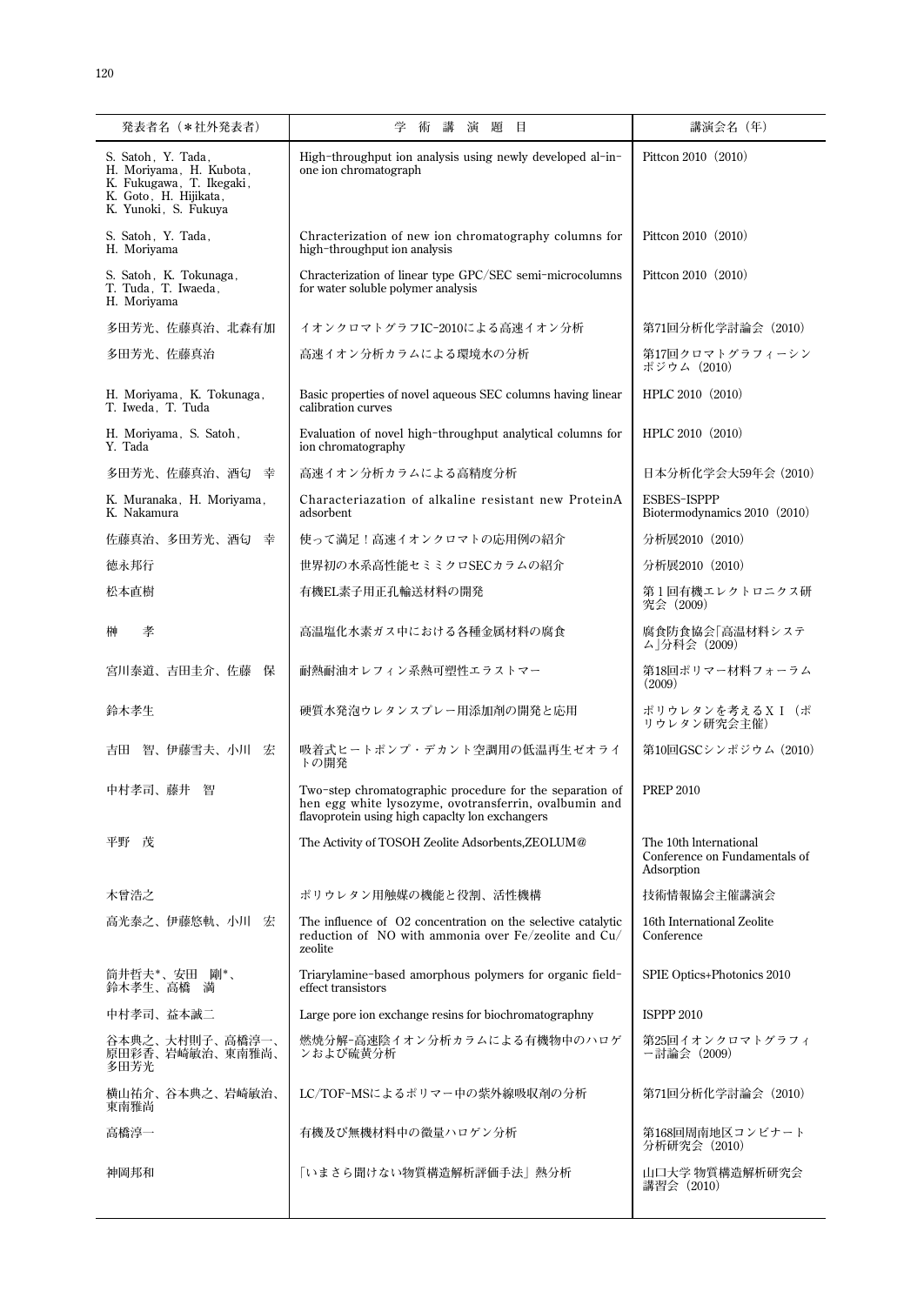| 発表者名 (*社外発表者)                                                                                                              | 講<br>演題<br>学<br>術<br>目                                                                                                                                               | 講演会名 (年)                                                              |
|----------------------------------------------------------------------------------------------------------------------------|----------------------------------------------------------------------------------------------------------------------------------------------------------------------|-----------------------------------------------------------------------|
| S. Satoh, Y. Tada,<br>H. Moriyama, H. Kubota,<br>K. Fukugawa, T. Ikegaki,<br>K. Goto, H. Hijikata,<br>K. Yunoki, S. Fukuya | High-throughput ion analysis using newly developed al-in-<br>one ion chromatograph                                                                                   | Pittcon 2010 (2010)                                                   |
| S. Satoh, Y. Tada,<br>H. Moriyama                                                                                          | Chracterization of new ion chromatography columns for<br>high-throughput ion analysis                                                                                | Pittcon 2010 (2010)                                                   |
| S. Satoh, K. Tokunaga,<br>T. Tuda, T. Iwaeda,<br>H. Moriyama                                                               | Chracterization of linear type GPC/SEC semi-microcolumns<br>for water soluble polymer analysis                                                                       | Pittcon 2010 (2010)                                                   |
| 多田芳光、佐藤真治、北森有加                                                                                                             | イオンクロマトグラフIC-2010による高速イオン分析                                                                                                                                          | 第71回分析化学討論会 (2010)                                                    |
| 多田芳光、佐藤真治                                                                                                                  | 高速イオン分析カラムによる環境水の分析                                                                                                                                                  | 第17回クロマトグラフィーシン<br>ポジウム (2010)                                        |
| H. Moriyama, K. Tokunaga,<br>T. Iweda, T. Tuda                                                                             | Basic properties of novel aqueous SEC columns having linear<br>calibration curves                                                                                    | HPLC 2010 (2010)                                                      |
| H. Moriyama, S. Satoh,<br>Y. Tada                                                                                          | Evaluation of novel high-throughput analytical columns for<br>ion chromatography                                                                                     | HPLC 2010 (2010)                                                      |
| 多田芳光、佐藤真治、酒匂 幸                                                                                                             | 高速イオン分析カラムによる高精度分析                                                                                                                                                   | 日本分析化学会大59年会(2010)                                                    |
| K. Muranaka, H. Moriyama,<br>K. Nakamura                                                                                   | Characteriazation of alkaline resistant new ProteinA<br>adsorbent                                                                                                    | <b>ESBES-ISPPP</b><br>Biotermodynamics 2010 (2010)                    |
| 佐藤真治、多田芳光、酒匂<br>幸                                                                                                          | 使って満足!高速イオンクロマトの応用例の紹介                                                                                                                                               | 分析展2010 (2010)                                                        |
| 徳永邦行                                                                                                                       | 世界初の水系高性能セミミクロSECカラムの紹介                                                                                                                                              | 分析展2010 (2010)                                                        |
| 松本直樹                                                                                                                       | 有機EL素子用正孔輸送材料の開発                                                                                                                                                     | 第1回有機エレクトロニクス研<br>究会 (2009)                                           |
| 孝<br>榊                                                                                                                     | 高温塩化水素ガス中における各種金属材料の腐食                                                                                                                                               | 腐食防食協会「高温材料システ<br>ム」分科会(2009)                                         |
| 宮川泰道、吉田圭介、佐藤<br>保                                                                                                          | 耐熱耐油オレフィン系熱可塑性エラストマー                                                                                                                                                 | 第18回ポリマー材料フォーラム<br>(2009)                                             |
| 鈴木孝生                                                                                                                       | 硬質水発泡ウレタンスプレー用添加剤の開発と応用                                                                                                                                              | ポリウレタンを考えるXI (ポ<br>リウレタン研究会主催)                                        |
| 智、伊藤雪夫、小川 宏<br>吉田                                                                                                          | 吸着式ヒートポンプ・デカント空調用の低温再生ゼオライ<br>トの開発                                                                                                                                   | 第10回GSCシンポジウム (2010)                                                  |
| 中村孝司、藤井<br>智                                                                                                               | Two-step chromatographic procedure for the separation of<br>hen egg white lysozyme, ovotransferrin, ovalbumin and<br>flavoprotein using high capacity lon exchangers | <b>PREP 2010</b>                                                      |
| 平野<br>茂                                                                                                                    | The Activity of TOSOH Zeolite Adsorbents, ZEOLUM@                                                                                                                    | The 10th International<br>Conference on Fundamentals of<br>Adsorption |
| 木曾浩之                                                                                                                       | ポリウレタン用触媒の機能と役割、活性機構                                                                                                                                                 | 技術情報協会主催講演会                                                           |
| 高光泰之、伊藤悠軌、小川 宏                                                                                                             | The influence of 02 concentration on the selective catalytic<br>reduction of NO with ammonia over $Fe$ /zeolite and $Cu$ /<br>zeolite                                | 16th International Zeolite<br>Conference                              |
| 筒井哲夫*、安田 剛*、<br>鈴木孝生、高橋 満                                                                                                  | Triarylamine-based amorphous polymers for organic field-<br>effect transistors                                                                                       | SPIE Optics+Photonics 2010                                            |
| 中村孝司、益本誠二                                                                                                                  | Large pore ion exchange resins for biochromatographny                                                                                                                | <b>ISPPP 2010</b>                                                     |
| 谷本典之、大村則子、高橋淳一、<br>原田彩香、岩崎敏治、東南雅尚、<br>多田芳光                                                                                 | 燃焼分解-高速陰イオン分析カラムによる有機物中のハロゲ<br>ンおよび硫黄分析                                                                                                                              | 第25回イオンクロマトグラフィ<br>ー討論会(2009)                                         |
| 横山祐介、谷本典之、岩崎敏治、<br>東南雅尚                                                                                                    | LC/TOF-MSによるポリマー中の紫外線吸収剤の分析                                                                                                                                          | 第71回分析化学討論会 (2010)                                                    |
| 高橋淳一                                                                                                                       | 有機及び無機材料中の微量ハロゲン分析                                                                                                                                                   | 第168回周南地区コンビナート<br>分析研究会 (2010)                                       |
| 神岡邦和                                                                                                                       | 「いまさら聞けない物質構造解析評価手法」熱分析                                                                                                                                              | 山口大学 物質構造解析研究会<br>講習会 (2010)                                          |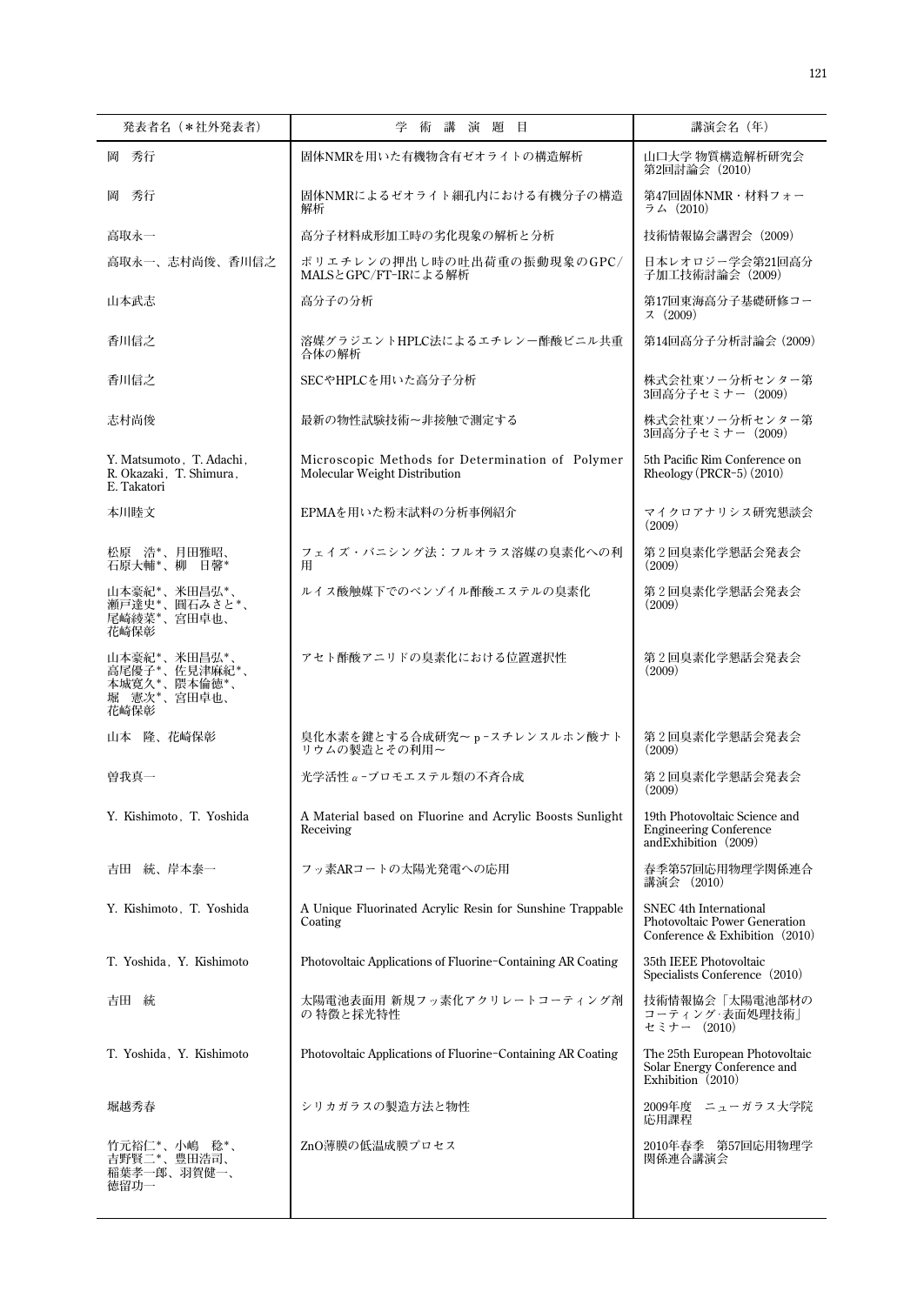| 発表者名 (*社外発表者)                                                        | 学<br>術講演題目                                                                        | 講演会名 (年)                                                                                    |
|----------------------------------------------------------------------|-----------------------------------------------------------------------------------|---------------------------------------------------------------------------------------------|
| 岡 秀行                                                                 | 固体NMRを用いた有機物含有ゼオライトの構造解析                                                          | 山口大学 物質構造解析研究会<br>第2回討論会 (2010)                                                             |
| 岡<br>- 秀行                                                            | 固体NMRによるゼオライト細孔内における有機分子の構造<br>解析                                                 | 第47回固体NMR・材料フォー<br>ラム (2010)                                                                |
| 高取永一                                                                 | 高分子材料成形加工時の劣化現象の解析と分析                                                             | 技術情報協会講習会 (2009)                                                                            |
| 高取永一、志村尚俊、香川信之                                                       | ポリエチレンの押出し時の吐出荷重の振動現象のGPC/<br>MALSとGPC/FT-IRによる解析                                 | 日本レオロジー学会第21回高分<br>子加工技術討論会(2009)                                                           |
| 山本武志                                                                 | 高分子の分析                                                                            | 第17回東海高分子基礎研修コー<br>7(2009)                                                                  |
| 香川信之                                                                 | 溶媒グラジエントHPLC法によるエチレンー酢酸ビニル共重<br>合体の解析                                             | 第14回高分子分析討論会 (2009)                                                                         |
| 香川信之                                                                 | SECやHPLCを用いた高分子分析                                                                 | 株式会社東ソー分析センター第<br>3回高分子セミナー (2009)                                                          |
| 志村尚俊                                                                 | 最新の物性試験技術~非接触で測定する                                                                | 株式会社東ソー分析センター第<br>3回高分子セミナー (2009)                                                          |
| Y. Matsumoto, T. Adachi,<br>R. Okazaki, T. Shimura,<br>E. Takatori   | Microscopic Methods for Determination of Polymer<br>Molecular Weight Distribution | 5th Pacific Rim Conference on<br>Rheology (PRCR-5) $(2010)$                                 |
| 本川睦文                                                                 | EPMAを用いた粉末試料の分析事例紹介                                                               | マイクロアナリシス研究懇談会<br>(2009)                                                                    |
| 松原 浩*、月田雅昭、<br>石原大輔*、柳 日馨*                                           | フェイズ・バニシング法:フルオラス溶媒の臭素化への利<br>用                                                   | 第2回臭素化学懇話会発表会<br>(2009)                                                                     |
| 山本豪紀*、米田昌弘*、<br>瀬戸達史*、圓石みさと*、<br>尾崎綾菜*、宮田卓也、<br>花崎保彰                 | ルイス酸触媒下でのベンゾイル酢酸エステルの臭素化                                                          | 第2回臭素化学懇話会発表会<br>(2009)                                                                     |
| 山本豪紀*、米田昌弘*、<br>高尾優子*、佐見津麻紀*、<br>本城寛久*、隈本倫徳*、<br>堀 憲次*、宮田卓也、<br>花崎保彰 | アセト酢酸アニリドの臭素化における位置選択性                                                            | 第2回臭素化学懇話会発表会<br>(2009)                                                                     |
| 山本 隆、花崎保彰                                                            | 臭化水素を鍵とする合成研究~ p-スチレンスルホン酸ナト<br>リウムの製造とその利用~                                      | 第2回臭素化学懇話会発表会<br>(2009)                                                                     |
| 曽我真一                                                                 | 光学活性α-ブロモエステル類の不吝合成                                                               | 第2回臭素化学懇話会発表会<br>(2009)                                                                     |
| Y. Kishimoto, T. Yoshida                                             | A Material based on Fluorine and Acrylic Boosts Sunlight<br>Receiving             | 19th Photovoltaic Science and<br><b>Engineering Conference</b><br>and Exhibition $(2009)$   |
| 吉田 統、岸本泰一                                                            | フッ素ARコートの太陽光発電への応用                                                                | 春季第57回応用物理学関係連合<br>講演会 (2010)                                                               |
| Y. Kishimoto, T. Yoshida                                             | A Unique Fluorinated Acrylic Resin for Sunshine Trappable<br>Coating              | SNEC 4th International<br>Photovoltaic Power Generation<br>Conference & Exhibition $(2010)$ |
| T. Yoshida, Y. Kishimoto                                             | Photovoltaic Applications of Fluorine-Containing AR Coating                       | 35th IEEE Photovoltaic<br>Specialists Conference (2010)                                     |
| 吉田 統                                                                 | 太陽電池表面用 新規フッ素化アクリレートコーティング剤<br>の特徴と採光特性                                           | 技術情報協会「太陽電池部材の<br>コーティング·表面処理技術」<br>セミナー (2010)                                             |
| T. Yoshida, Y. Kishimoto                                             | Photovoltaic Applications of Fluorine-Containing AR Coating                       | The 25th European Photovoltaic<br>Solar Energy Conference and<br>Exhibition $(2010)$        |
| 堀越秀春                                                                 | シリカガラスの製造方法と物性                                                                    | 2009年度 ニューガラス大学院<br>応用課程                                                                    |
| 竹元裕仁*、小嶋 稔*、<br>吉野賢二*、豊田浩司、<br>稲葉孝一郎、羽賀健一、<br>徳留功一                   | ZnO薄膜の低温成膜プロセス                                                                    | 2010年春季 第57回応用物理学<br>関係連合講演会                                                                |